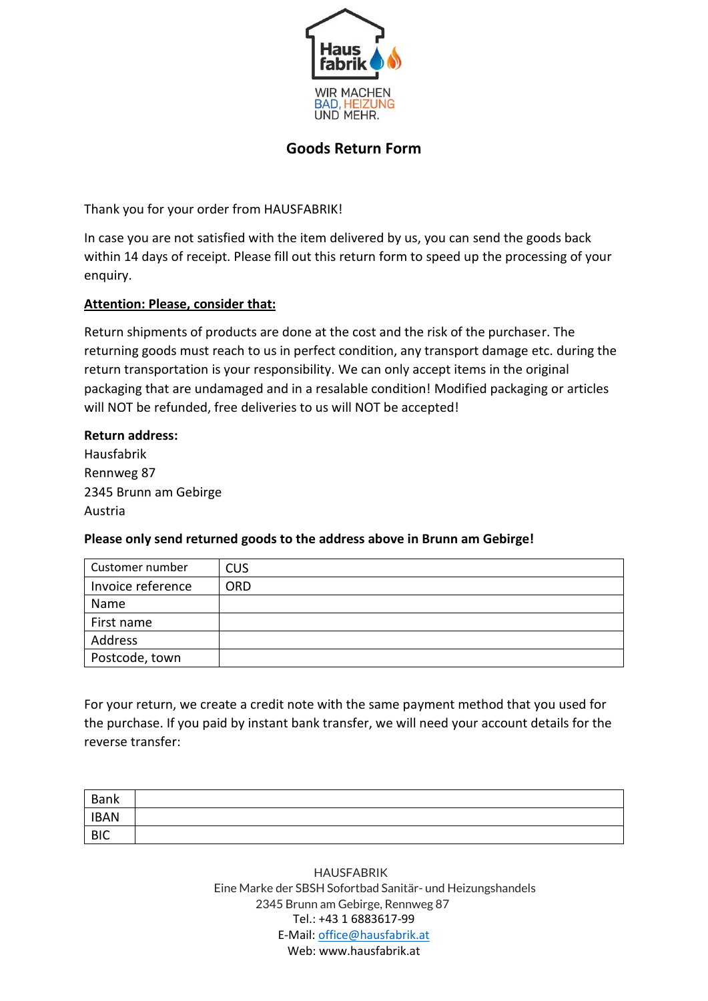

## **Goods Return Form**

Thank you for your order from HAUSFABRIK!

In case you are not satisfied with the item delivered by us, you can send the goods back within 14 days of receipt. Please fill out this return form to speed up the processing of your enquiry.

## **Attention: Please, consider that:**

Return shipments of products are done at the cost and the risk of the purchaser. The returning goods must reach to us in perfect condition, any transport damage etc. during the return transportation is your responsibility. We can only accept items in the original packaging that are undamaged and in a resalable condition! Modified packaging or articles will NOT be refunded, free deliveries to us will NOT be accepted!

## **Return address:**

Hausfabrik Rennweg 87 2345 Brunn am Gebirge Austria

## **Please only send returned goods to the address above in Brunn am Gebirge!**

| Customer number   | <b>CUS</b> |
|-------------------|------------|
| Invoice reference | <b>ORD</b> |
| Name              |            |
| First name        |            |
| Address           |            |
| Postcode, town    |            |

For your return, we create a credit note with the same payment method that you used for the purchase. If you paid by instant bank transfer, we will need your account details for the reverse transfer:

| Bank        |  |
|-------------|--|
| <b>IBAN</b> |  |
| <b>BIC</b>  |  |

Tel.: +43 1 6883617-99 E-Mail: [office@hausfabrik.at](mailto:office@hausfabrik.at) Web: www.hausfabrik.at 2345 Brunn am Gebirge, Rennweg 87 Eine Marke der SBSH Sofortbad Sanitär- und Heizungshandels HAUSFABRIK